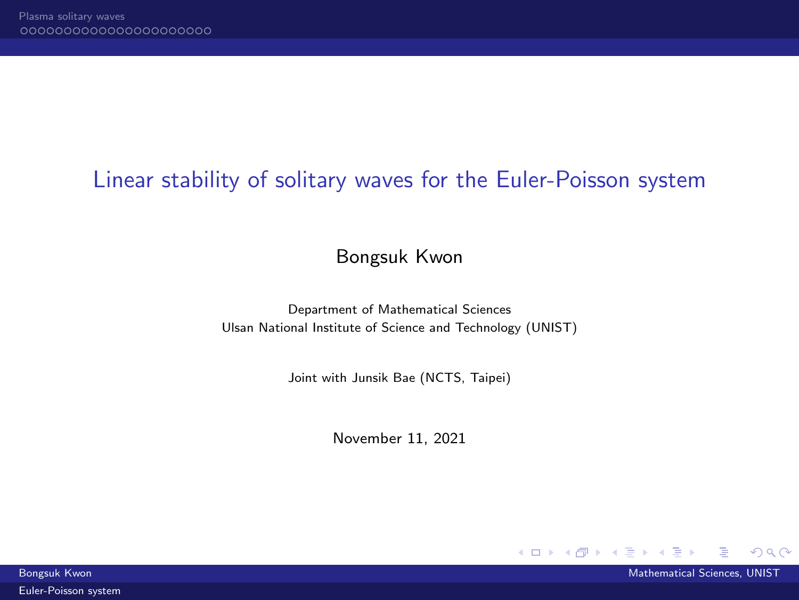# <span id="page-0-0"></span>Linear stability of solitary waves for the Euler-Poisson system

Bongsuk Kwon

Department of Mathematical Sciences Ulsan National Institute of Science and Technology (UNIST)

Joint with Junsik Bae (NCTS, Taipei)

November 11, 2021



**イロト イ母ト イヨ** 

 $QQQ$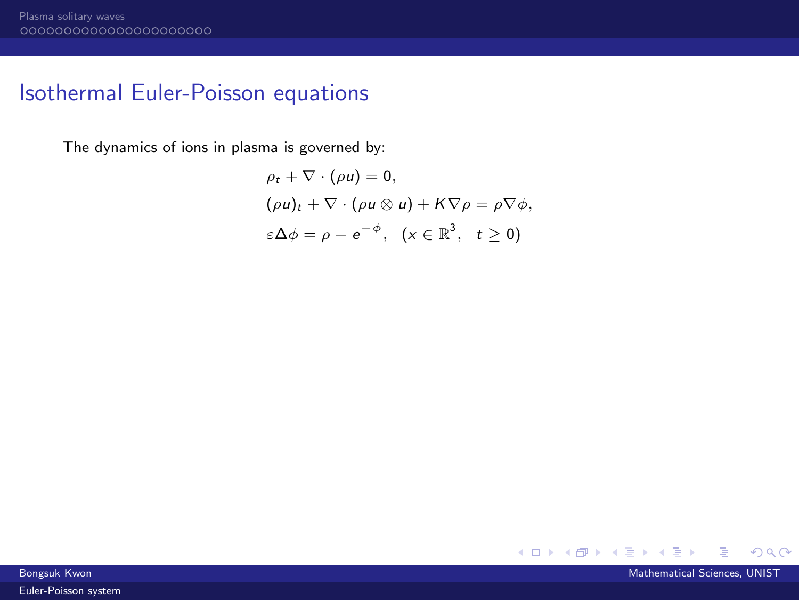## Isothermal Euler-Poisson equations

The dynamics of ions in plasma is governed by:

$$
\rho_t + \nabla \cdot (\rho u) = 0,
$$
  
\n
$$
(\rho u)_t + \nabla \cdot (\rho u \otimes u) + K \nabla \rho = \rho \nabla \phi,
$$
  
\n
$$
\varepsilon \Delta \phi = \rho - e^{-\phi}, \quad (x \in \mathbb{R}^3, \quad t \ge 0)
$$

メロメメ 倒 メメ ミメメ 毛

 $298$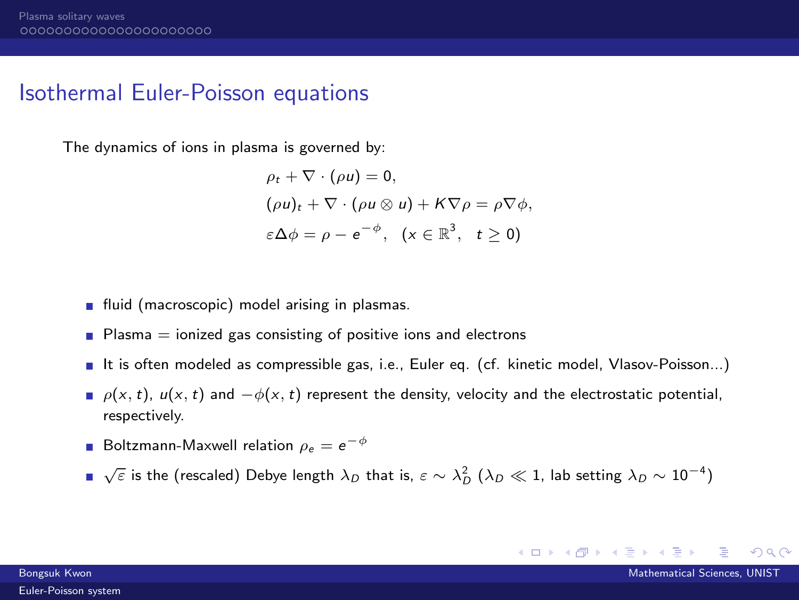## Isothermal Euler-Poisson equations

The dynamics of ions in plasma is governed by:

$$
\rho_t + \nabla \cdot (\rho u) = 0,
$$
  
\n
$$
(\rho u)_t + \nabla \cdot (\rho u \otimes u) + K \nabla \rho = \rho \nabla \phi,
$$
  
\n
$$
\varepsilon \Delta \phi = \rho - e^{-\phi}, \quad (x \in \mathbb{R}^3, \quad t \ge 0)
$$

- **fluid** (macroscopic) model arising in plasmas.
- **Plasma**  $=$  ionized gas consisting of positive ions and electrons
- It is often modeled as compressible gas, i.e., Euler eq. (cf. kinetic model, Vlasov-Poisson...)
- $\rho(x, t)$ ,  $u(x, t)$  and  $-\phi(x, t)$  represent the density, velocity and the electrostatic potential, respectively.
- Boltzmann-Maxwell relation  $\rho_e = e^{-\phi}$
- $\sqrt{\varepsilon}$  is the (rescaled) Debye length  $\lambda_D$  that is,  $\varepsilon \sim \lambda_D^2$   $(\lambda_D \ll 1$ , lab setting  $\lambda_D \sim 10^{-4})$

イロト イ押ト イヨト イヨト

 $QQ$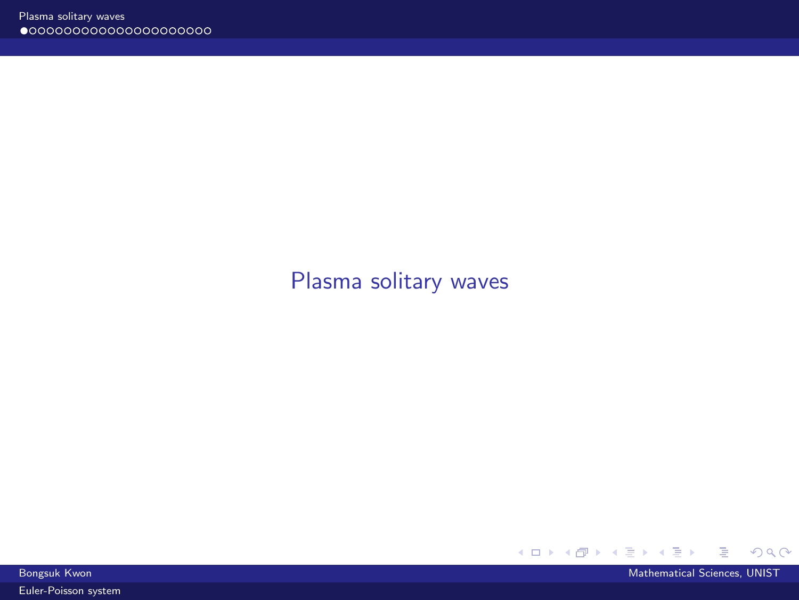# <span id="page-3-0"></span>[Plasma solitary waves](#page-3-0)



**Bongsuk Kwon** Mathematical Sciences, UNIST Control of the Control of the Control of the Control of the Mathematical Sciences, UNIST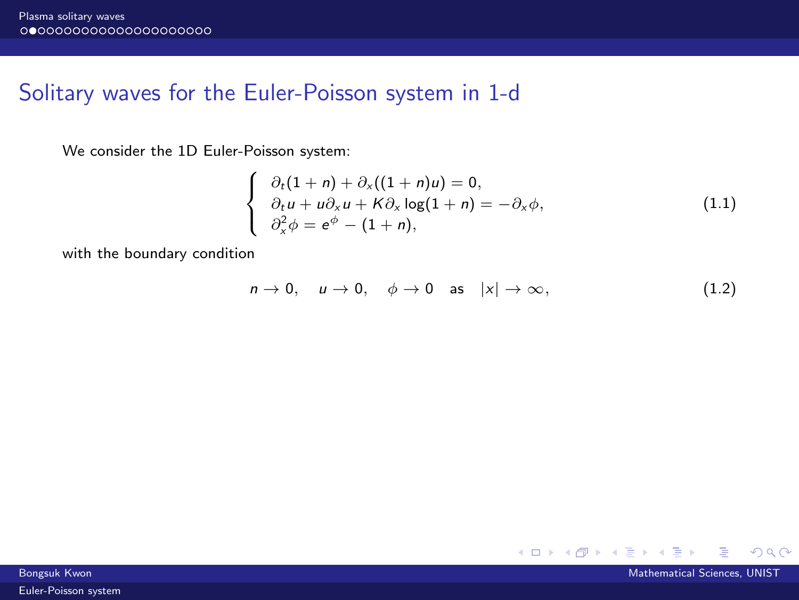## Solitary waves for the Euler-Poisson system in 1-d

We consider the 1D Euler-Poisson system:

$$
\begin{cases}\n\partial_t (1+n) + \partial_x ((1+n)u) = 0, \\
\partial_t u + u \partial_x u + K \partial_x \log(1+n) = -\partial_x \phi, \\
\partial_x^2 \phi = e^{\phi} - (1+n),\n\end{cases}
$$
\n(1.1)

with the boundary condition

$$
n \to 0, \quad u \to 0, \quad \phi \to 0 \quad \text{as} \quad |x| \to \infty,
$$
 (1.2)

Bongsuk Kwon Mathematical Sciences, UNIST

重

メロトメ 伊 トメ 君 トメ 君 トー

 $298$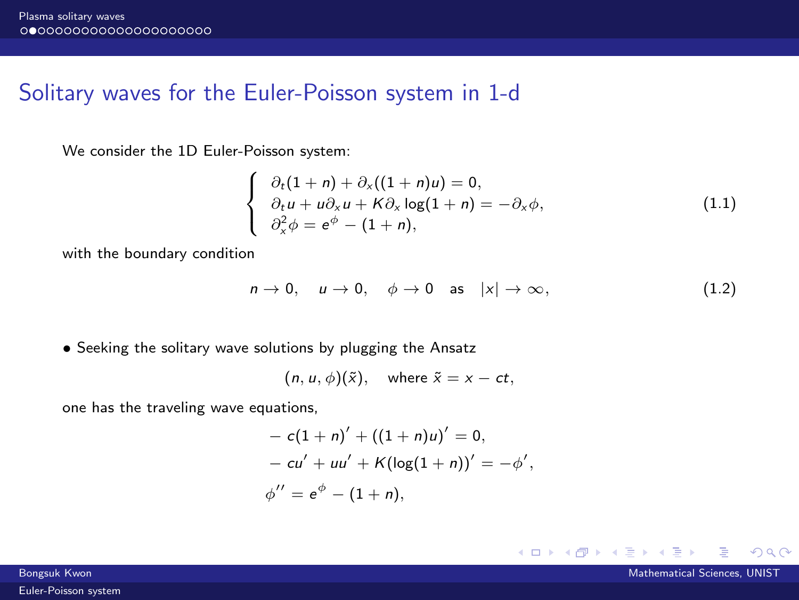## Solitary waves for the Euler-Poisson system in 1-d

We consider the 1D Euler-Poisson system:

$$
\begin{cases}\n\partial_t (1+n) + \partial_x ((1+n)u) = 0, \\
\partial_t u + u \partial_x u + K \partial_x \log(1+n) = -\partial_x \phi, \\
\partial_x^2 \phi = e^{\phi} - (1+n),\n\end{cases}
$$
\n(1.1)

with the boundary condition

$$
n \to 0, \quad u \to 0, \quad \phi \to 0 \quad \text{as} \quad |x| \to \infty, \tag{1.2}
$$

• Seeking the solitary wave solutions by plugging the Ansatz

$$
(n, u, \phi)(\tilde{x}), \quad \text{where } \tilde{x} = x - ct,
$$

one has the traveling wave equations,

$$
- c(1 + n)' + ((1 + n)u)' = 0,- cu' + uu' + K(log(1 + n))' = -\phi',\phi'' = e^{\phi} - (1 + n),
$$

Bongsuk Kwon Mathematical Sciences, UNIST Control of the Control of the Control of the Control of the Mathematical Sciences, UNIST

 $QQ$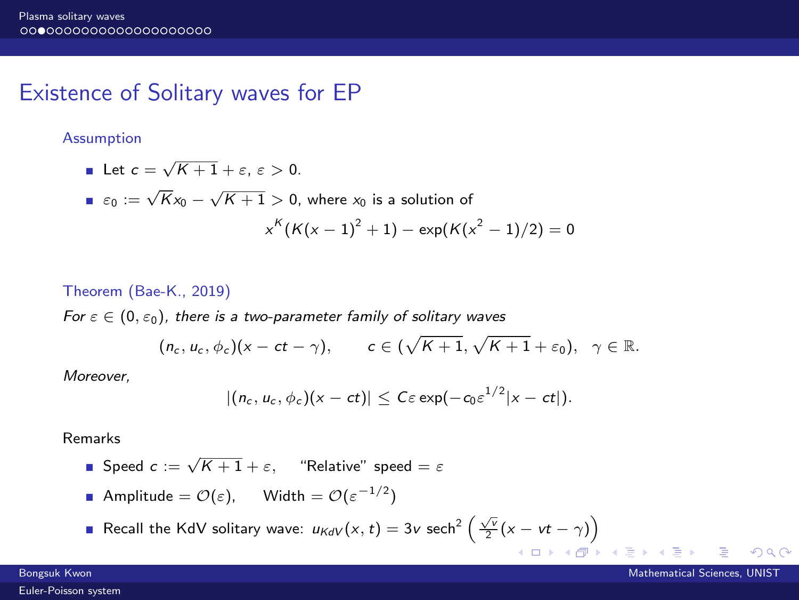## Existence of Solitary waves for EP

#### Assumption

Let 
$$
c = \sqrt{K+1} + \varepsilon
$$
,  $\varepsilon > 0$ .

■ 
$$
\varepsilon_0 := \sqrt{K}x_0 - \sqrt{K+1} > 0
$$
, where  $x_0$  is a solution of  

$$
x^K(K(x-1)^2 + 1) - \exp(K(x^2 - 1)/2) = 0
$$

#### Theorem (Bae-K., 2019)

For  $\varepsilon \in (0, \varepsilon_0)$ , there is a two-parameter family of solitary waves

$$
(n_c, u_c, \phi_c)(x - ct - \gamma), \qquad c \in (\sqrt{K+1}, \sqrt{K+1} + \varepsilon_0), \quad \gamma \in \mathbb{R}.
$$

Moreover,

$$
|(n_c, u_c, \phi_c)(x-ct)| \leq C \varepsilon \exp(-c_0 \varepsilon^{1/2} |x-ct|).
$$

Remarks

■ Speed 
$$
c := \sqrt{K+1} + \varepsilon
$$
, "Relative" speed =  $\varepsilon$ 

**Example 21** Ampitude = 
$$
\mathcal{O}(\varepsilon)
$$
,  $\text{Width} = \mathcal{O}(\varepsilon^{-1/2})$ 

Recall the KdV solitary wave:  $u_{KdV}(x,t) = 3v$  sech<sup>2</sup>  $\left(\frac{\sqrt{v}}{2}(x - vt - \gamma)\right)$ 

 $QQ$ 

**K ロ ▶ K 何 ▶**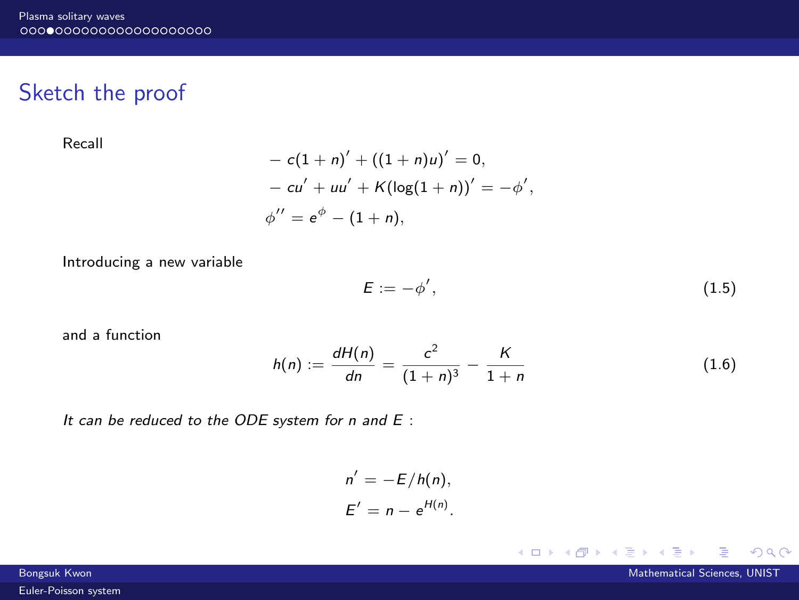## Sketch the proof

Recall

$$
- c(1 + n)' + ((1 + n)u)' = 0,- cu' + uu' + K(log(1 + n))' = -\phi',\phi'' = e^{\phi} - (1 + n),
$$

Introducing a new variable

$$
E := -\phi',\tag{1.5}
$$

**K ロ ▶ K 御 ▶ K 舌** 

and a function

$$
h(n) := \frac{dH(n)}{dn} = \frac{c^2}{(1+n)^3} - \frac{K}{1+n}
$$
 (1.6)

It can be reduced to the ODE system for n and E :

$$
n' = -E/h(n),
$$
  

$$
E' = n - e^{H(n)}.
$$

3 - 4 로

 $298$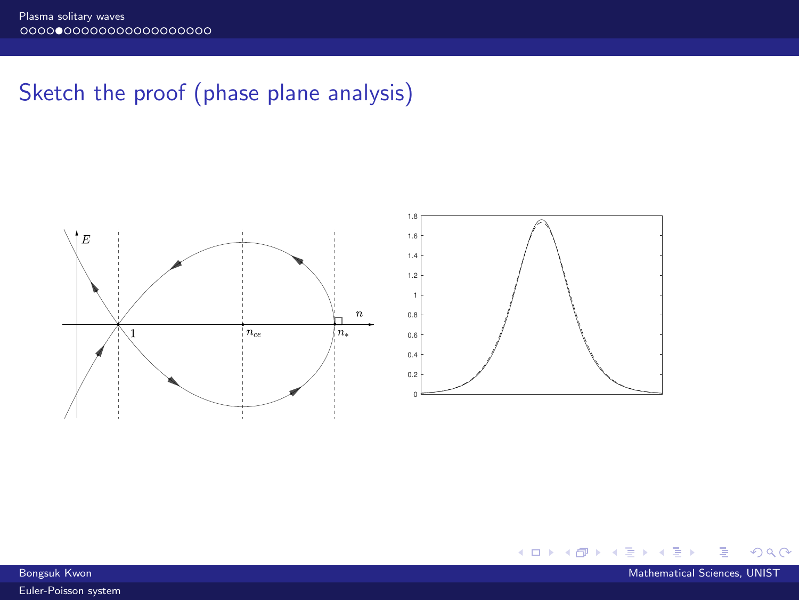# Sketch the proof (phase plane analysis)



∍ **Bongsuk Kwon** Mathematical Sciences, UNIST Control of the Control of the Control of the Control of the Mathematical Sciences, UNIST

**K ロ ▶ K 伊 ▶ K** 

э 41  $298$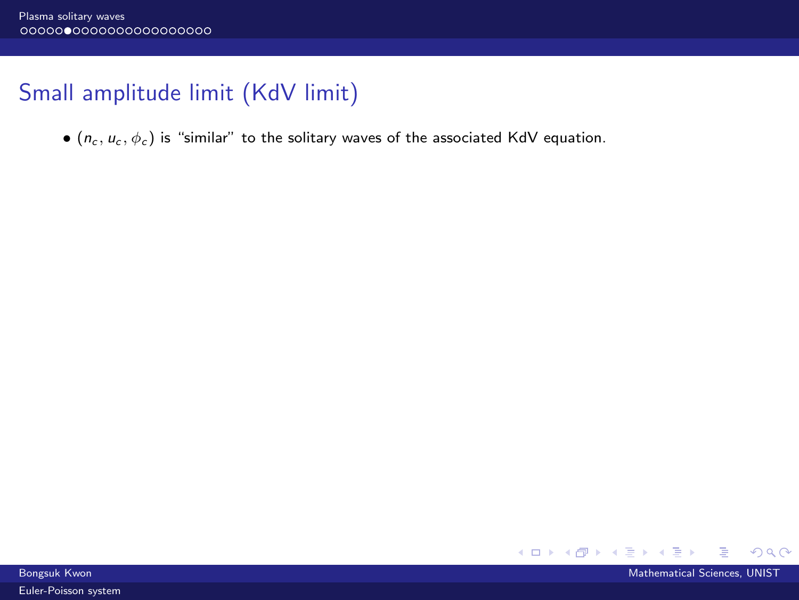# Small amplitude limit (KdV limit)

•  $(n_c, u_c, \phi_c)$  is "similar" to the solitary waves of the associated KdV equation.



Bongsuk Kwon Mathematical Sciences, UNIST Control of the Control of the Control of the Control of the Mathematical Sciences, UNIST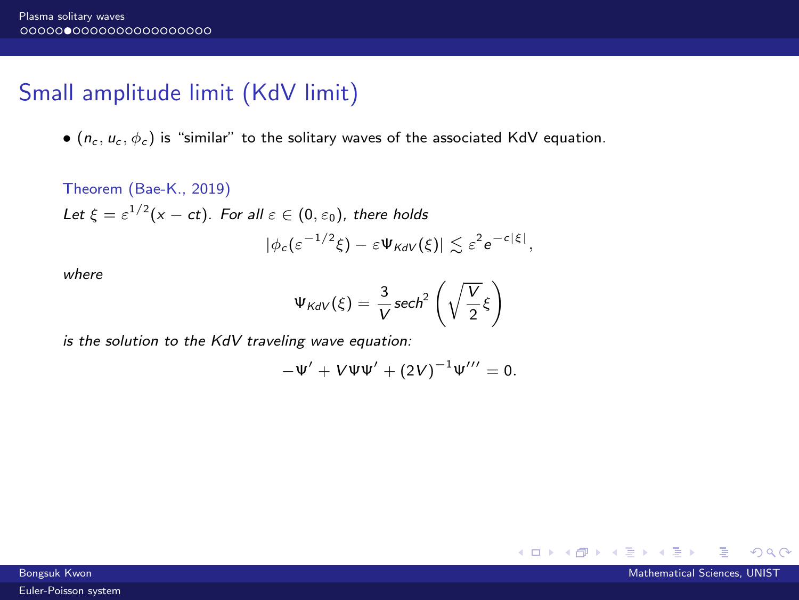# Small amplitude limit (KdV limit)

•  $(n_c, u_c, \phi_c)$  is "similar" to the solitary waves of the associated KdV equation.

Theorem (Bae-K., 2019)  
\nLet 
$$
\xi = \varepsilon^{1/2}(x - ct)
$$
. For all  $\varepsilon \in (0, \varepsilon_0)$ , there holds  
\n
$$
|\phi_c(\varepsilon^{-1/2}\xi) - \varepsilon \Psi_{KdV}(\xi)| \lesssim \varepsilon^2 e^{-c|\xi|},
$$

where

$$
\Psi_{\text{KdV}}(\xi) = \frac{3}{V} \operatorname{sech}^2\left(\sqrt{\frac{V}{2}}\xi\right)
$$

is the solution to the KdV traveling wave equation:

$$
-\Psi' + V\Psi\Psi' + (2V)^{-1}\Psi''' = 0.
$$

 $QQQ$ 

 $A \Box B$   $A \Box B$   $A \Box B$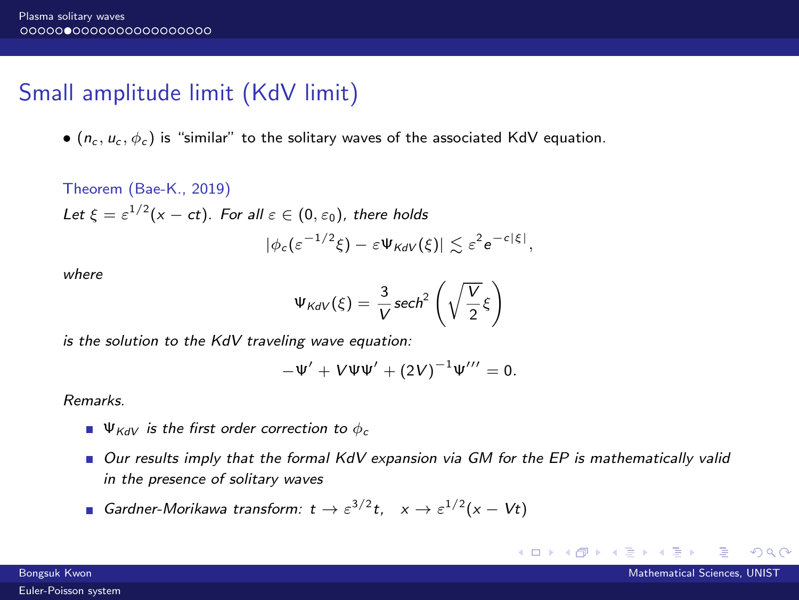# Small amplitude limit (KdV limit)

•  $(n_c, u_c, \phi_c)$  is "similar" to the solitary waves of the associated KdV equation.

Theorem (Bae-K., 2019)  
\nLet 
$$
\xi = \varepsilon^{1/2}(x - ct)
$$
. For all  $\varepsilon \in (0, \varepsilon_0)$ , there holds  
\n
$$
|\phi_c(\varepsilon^{-1/2}\xi) - \varepsilon \Psi_{KdV}(\xi)| \lesssim \varepsilon^2 e^{-c|\xi|},
$$

where

$$
\Psi_{\text{KdV}}(\xi) = \frac{3}{V} \operatorname{sech}^2\left(\sqrt{\frac{V}{2}}\xi\right)
$$

is the solution to the KdV traveling wave equation:

$$
-\Psi' + V\Psi\Psi' + (2V)^{-1}\Psi''' = 0.
$$

Remarks.

- $\Psi_{KdV}$  is the first order correction to  $\phi_c$
- Our results imply that the formal KdV expansion via GM for the EP is mathematically valid in the presence of solitary waves
- Gardner-Morikawa transform:  $t \to \varepsilon^{3/2} t$ ,  $x \to \varepsilon^{1/2} (x Vt)$

イロト イ母 トイヨ トイヨ

 $QQ$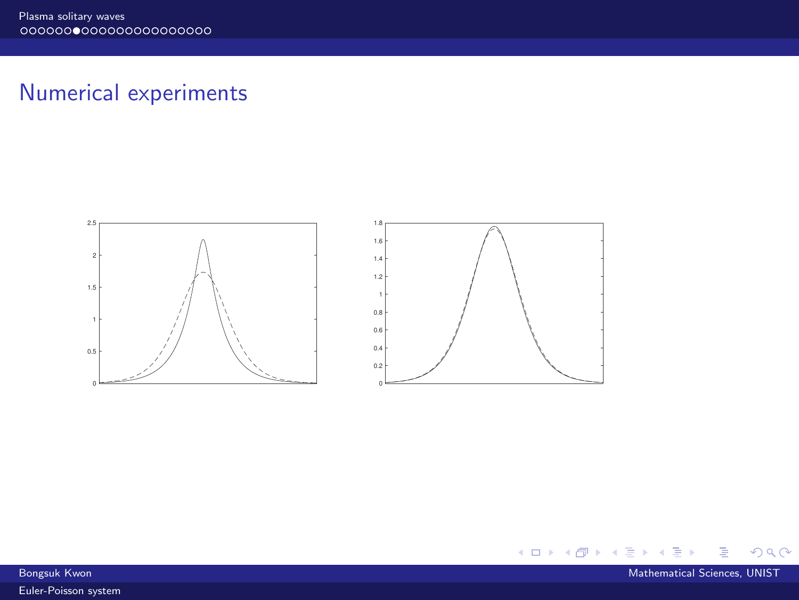# Numerical experiments





 $\rightarrow$ 

 $298$ 

**K ロ ト K 御 ト K 語**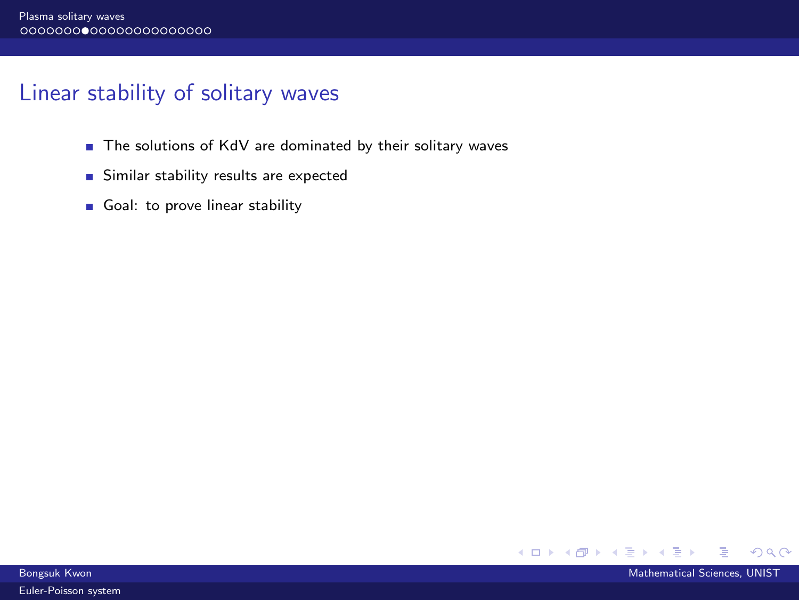# Linear stability of solitary waves

- The solutions of KdV are dominated by their solitary waves
- Similar stability results are expected
- Goal: to prove linear stability



Bongsuk Kwon Mathematical Sciences, UNIST Control of the Control of the Control of the Control of the Mathematical Sciences, UNIST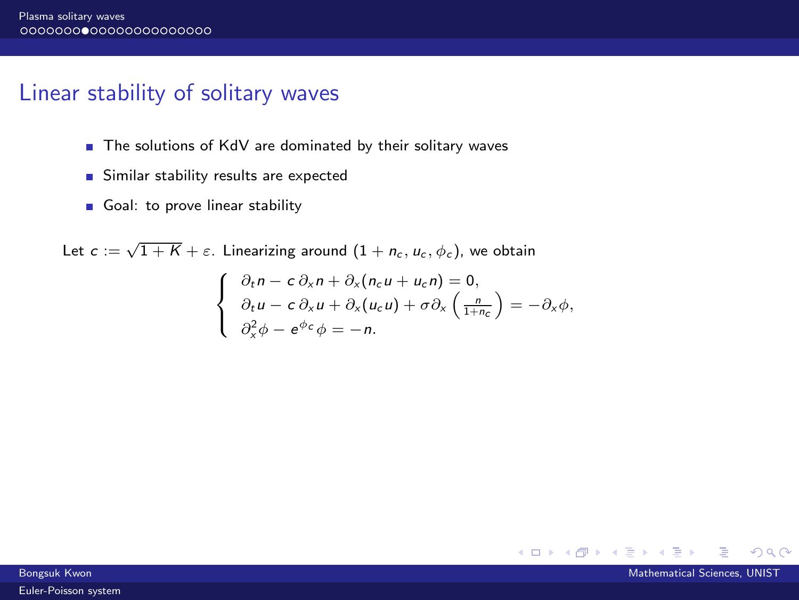## Linear stability of solitary waves

- The solutions of KdV are dominated by their solitary waves
- Similar stability results are expected
- Goal: to prove linear stability

Let  $c:=\sqrt{1+K}+\varepsilon$ . Linearizing around  $(1+n_c,u_c,\phi_c)$ , we obtain  $\int$  $\partial_t n - c \partial_x n + \partial_x (n_c u + u_c n) = 0,$  $\partial_t u - c \partial_x u + \partial_x (u_c u) + \sigma \partial_x \left( \frac{n}{1+n_c} \right) = -\partial_x \phi,$ 

$$
\left(\begin{array}{c}\n\frac{\partial^2}{\partial x^2} \phi - e^{\phi c} \phi = -n.\n\end{array}\right)
$$

4 0 F

 $\Omega$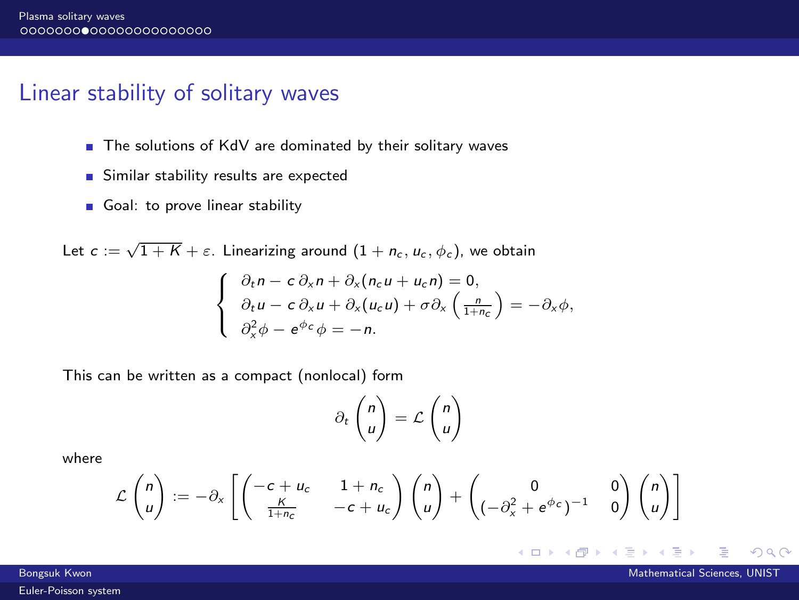### Linear stability of solitary waves

- The solutions of KdV are dominated by their solitary waves
- Similar stability results are expected
- Goal: to prove linear stability

Let  $c:=\sqrt{1+K}+\varepsilon$ . Linearizing around  $(1+n_c,u_c,\phi_c)$ , we obtain  $\int$  $\mathbf{I}$  $\partial_t n - c \partial_x n + \partial_x (n_c u + u_c n) = 0,$  $\partial_t u - c \partial_x u + \partial_x (u_c u) + \sigma \partial_x \left( \frac{n}{1+n_c} \right) = -\partial_x \phi,$  $\partial_x^2 \phi - e^{\phi_c} \phi = -n.$ 

This can be written as a compact (nonlocal) form

$$
\partial_t \begin{pmatrix} n \\ u \end{pmatrix} = \mathcal{L} \begin{pmatrix} n \\ u \end{pmatrix}
$$

where

$$
\mathcal{L}\begin{pmatrix}n\\u\end{pmatrix} := -\partial_x \left[ \begin{pmatrix} -c + u_c & 1 + n_c\\ \frac{K}{1 + n_c} & -c + u_c \end{pmatrix} \begin{pmatrix} n\\u \end{pmatrix} + \begin{pmatrix} 0 & 0\\ (-\partial_x^2 + e^{\phi_c})^{-1} & 0 \end{pmatrix} \begin{pmatrix} n\\u \end{pmatrix} \right]
$$

∢ ロ ▶ 《 母 》 《 ヨ 》 《 ヨ

 $\Omega$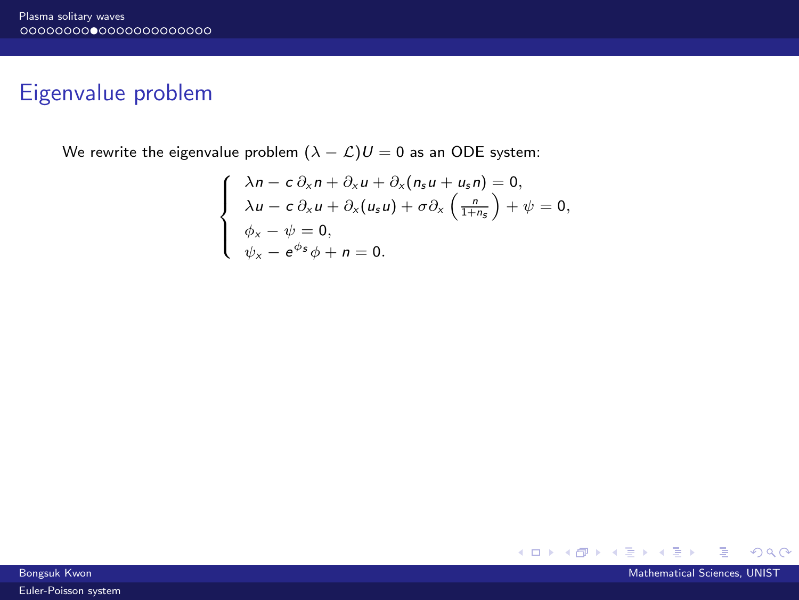## Eigenvalue problem

We rewrite the eigenvalue problem  $(\lambda - \mathcal{L})U = 0$  as an ODE system:

$$
\begin{cases}\n\lambda n - c \partial_x n + \partial_x u + \partial_x (n_s u + u_s n) = 0, \\
\lambda u - c \partial_x u + \partial_x (u_s u) + \sigma \partial_x \left(\frac{n}{1 + n_s}\right) + \psi = 0, \\
\phi_x - \psi = 0, \\
\psi_x - e^{\phi_s} \phi + n = 0.\n\end{cases}
$$

メロトメ 倒 トメ ミトメ ヨト

 $298$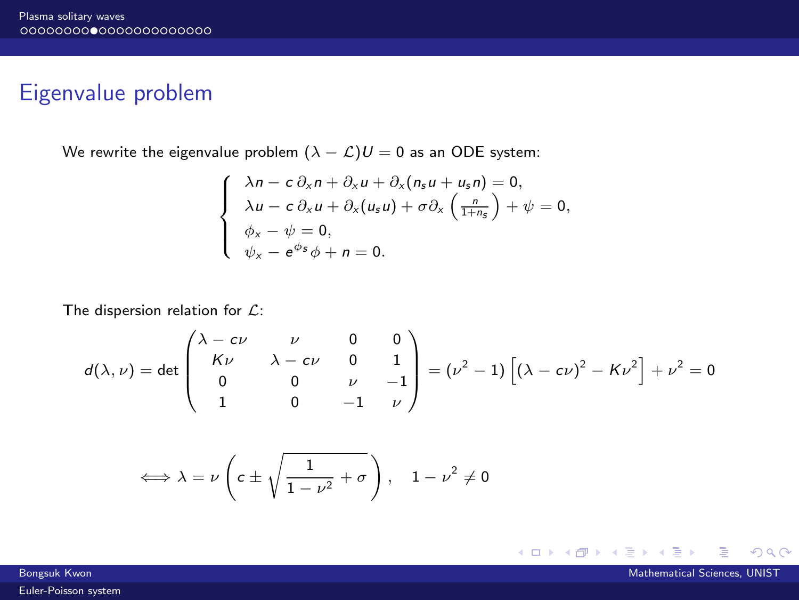# Eigenvalue problem

We rewrite the eigenvalue problem  $(\lambda - \mathcal{L})U = 0$  as an ODE system:

$$
\begin{cases}\n\lambda n - c \partial_x n + \partial_x u + \partial_x (n_s u + u_s n) = 0, \\
\lambda u - c \partial_x u + \partial_x (u_s u) + \sigma \partial_x \left(\frac{n}{1 + n_s}\right) + \psi = 0, \\
\phi_x - \psi = 0, \\
\psi_x - e^{\phi_s} \phi + n = 0.\n\end{cases}
$$

The dispersion relation for  $\mathcal{L}$ :

$$
d(\lambda, \nu) = \det \begin{pmatrix} \lambda - c\nu & \nu & 0 & 0 \\ K\nu & \lambda - c\nu & 0 & 1 \\ 0 & 0 & \nu & -1 \\ 1 & 0 & -1 & \nu \end{pmatrix} = (\nu^2 - 1) \left[ (\lambda - c\nu)^2 - K\nu^2 \right] + \nu^2 = 0
$$

$$
\iff \lambda = \nu \left( c \pm \sqrt{\frac{1}{1-\nu^2} + \sigma} \right), \quad 1 - \nu^2 \neq 0
$$

メロトメ 倒 トメ ミトメ ヨト

 $298$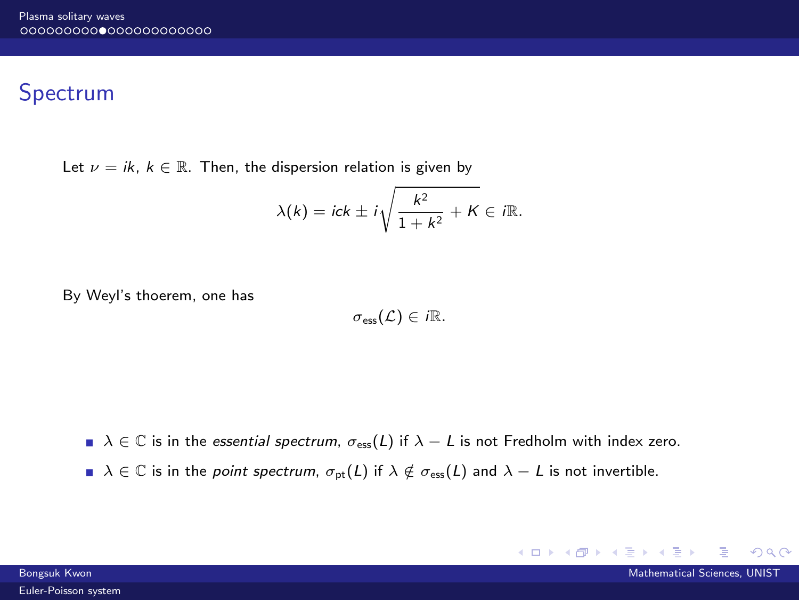# Spectrum

Let  $\nu = i k$ ,  $k \in \mathbb{R}$ . Then, the dispersion relation is given by

$$
\lambda(k) = ick \pm i\sqrt{\frac{k^2}{1+k^2} + K} \in i\mathbb{R}.
$$

By Weyl's thoerem, one has

$$
\sigma_{\text{ess}}(\mathcal{L}) \in i\mathbb{R}.
$$

 $\Box \lambda \in \mathbb{C}$  is in the essential spectrum,  $\sigma_{\text{ess}}(L)$  if  $\lambda - L$  is not Fredholm with index zero.

 $\Box \lambda \in \mathbb{C}$  is in the *point spectrum*,  $\sigma_{pt}(L)$  if  $\lambda \notin \sigma_{\text{ess}}(L)$  and  $\lambda - L$  is not invertible.

 $QQ$ 

 $A \Box B$   $A \Box B$   $A \Box B$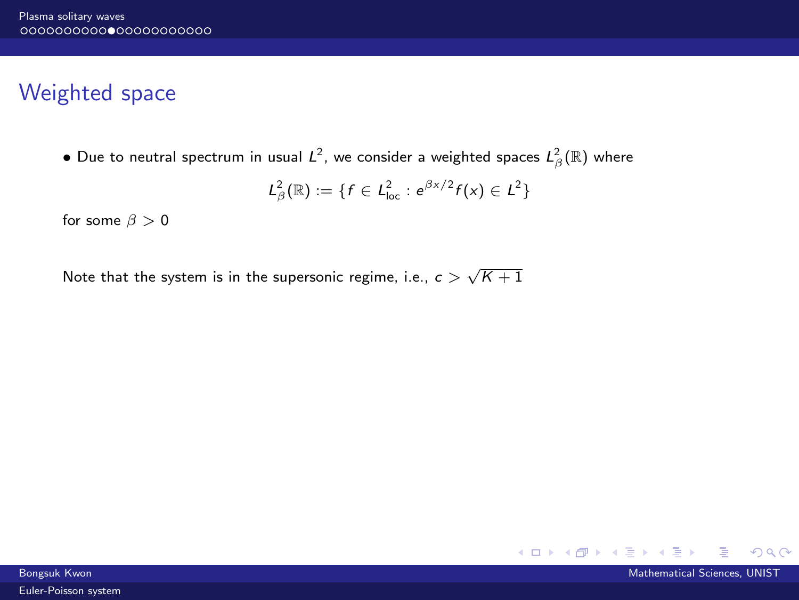# Weighted space

 $\bullet$  Due to neutral spectrum in usual  $\mathcal{L}^2$ , we consider a weighted spaces  $\mathcal{L}^2_\beta(\mathbb{R})$  where

$$
L^2_{\beta}(\mathbb{R}) := \{ f \in L^2_{loc} : e^{\beta x/2} f(x) \in L^2 \}
$$

for some  $\beta > 0$ 

Note that the system is in the supersonic regime, i.e.,  $c>\sqrt{K+1}$ 



Bongsuk Kwon Mathematical Sciences, UNIST Control of the Control of the Control of the Control of the Mathematical Sciences, UNIST [Euler-Poisson system](#page-0-0)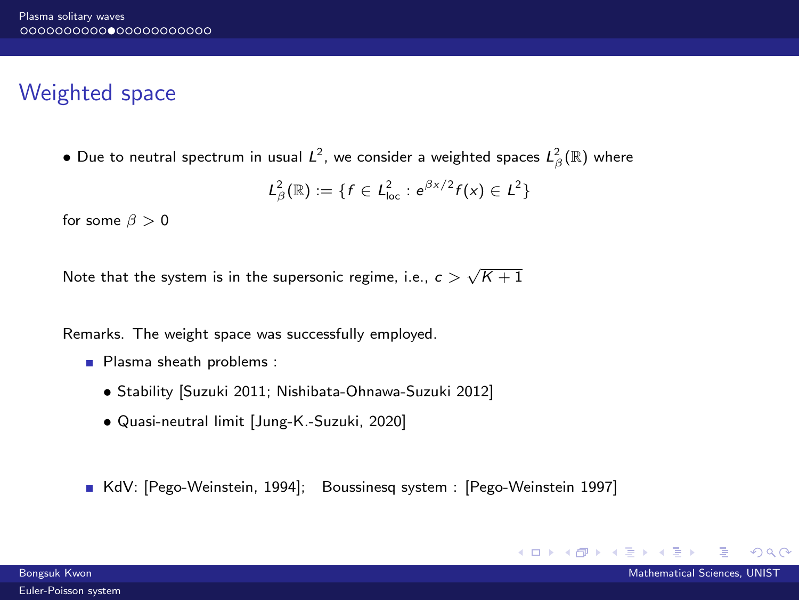# Weighted space

 $\bullet$  Due to neutral spectrum in usual  $\mathcal{L}^2$ , we consider a weighted spaces  $\mathcal{L}^2_\beta(\mathbb{R})$  where

$$
L^2_{\beta}(\mathbb{R}) := \{ f \in L^2_{loc} : e^{\beta x/2} f(x) \in L^2 \}
$$

for some  $\beta > 0$ 

Note that the system is in the supersonic regime, i.e.,  $c>\sqrt{K+1}$ 

Remarks. The weight space was successfully employed.

- Plasma sheath problems :
	- Stability [Suzuki 2011; Nishibata-Ohnawa-Suzuki 2012]
	- Quasi-neutral limit [Jung-K.-Suzuki, 2020]

KdV: [Pego-Weinstein, 1994]; Boussinesq system : [Pego-Weinstein 1997]

∢ □ ▶ ∢ <sup>□</sup> ▶ ∢ ∃

 $QQ$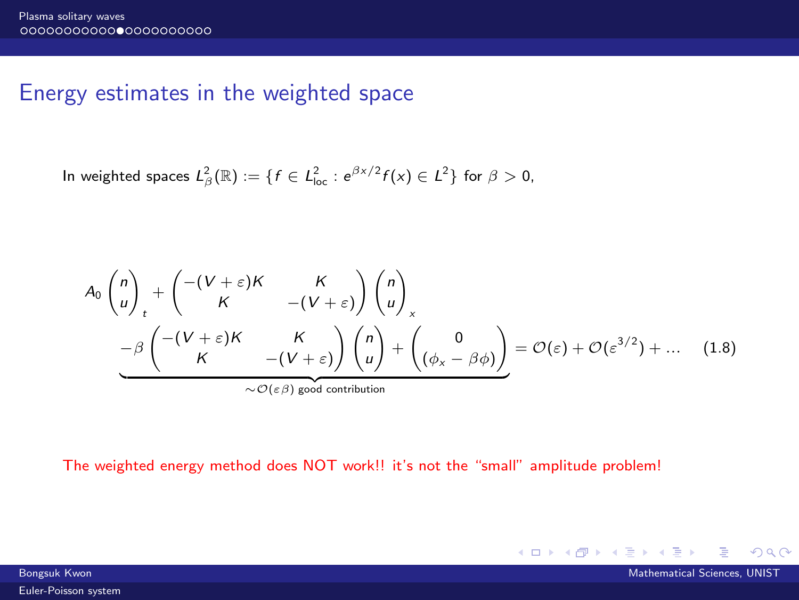## Energy estimates in the weighted space

In weighted spaces  $L^2_{\beta}(\mathbb{R}) := \{f \in L^2_{loc} : e^{\beta x/2} f(x) \in L^2 \}$  for  $\beta > 0$ ,

$$
A_0 \begin{pmatrix} n \\ u \end{pmatrix}_t + \begin{pmatrix} -(V + \varepsilon)K & K \\ K & -(V + \varepsilon) \end{pmatrix} \begin{pmatrix} n \\ u \end{pmatrix}_x
$$
  

$$
- \frac{\beta}{K} \begin{pmatrix} -(V + \varepsilon)K & K \\ K & -(V + \varepsilon) \end{pmatrix} \begin{pmatrix} n \\ u \end{pmatrix} + \begin{pmatrix} 0 \\ (\phi_x - \beta \phi) \end{pmatrix} = \mathcal{O}(\varepsilon) + \mathcal{O}(\varepsilon^{3/2}) + \dots \quad (1.8)
$$
  
  $\sim \mathcal{O}(\varepsilon \beta)$  good contribution

The weighted energy method does NOT work!! it's not the "small" amplitude problem!

[Euler-Poisson system](#page-0-0)

Bongsuk Kwon Mathematical Sciences, UNIST Control of the Control of the Control of the Mathematical Sciences, UNIST

 $QQQ$ 

メロトメ 倒 トメ ミトメ ヨト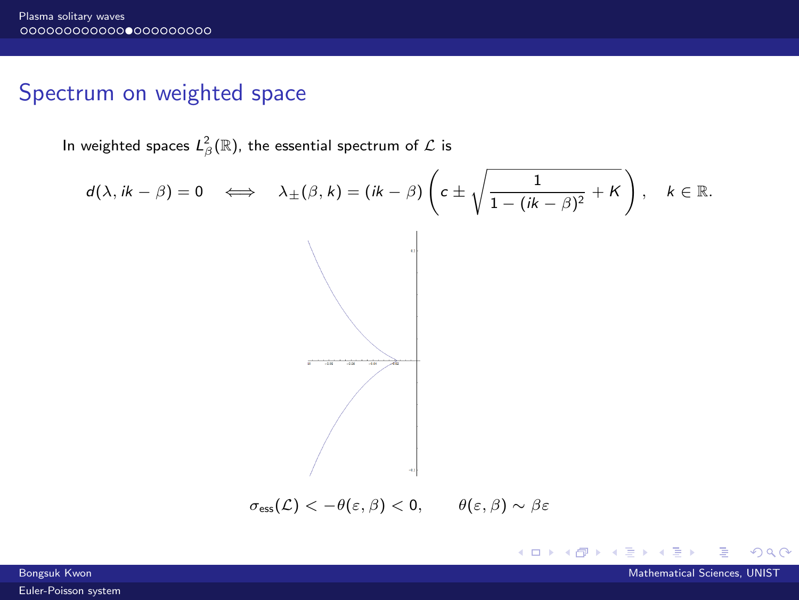# Spectrum on weighted space

In weighted spaces  $L^2_\beta(\mathbb{R}),$  the essential spectrum of  $\mathcal L$  is

$$
d(\lambda, i k - \beta) = 0 \iff \lambda_{\pm}(\beta, k) = (ik - \beta) \left( c \pm \sqrt{\frac{1}{1 - (ik - \beta)^2} + K} \right), \quad k \in \mathbb{R}.
$$

メロトメ 倒 トメ ミトメ ミト

 $298$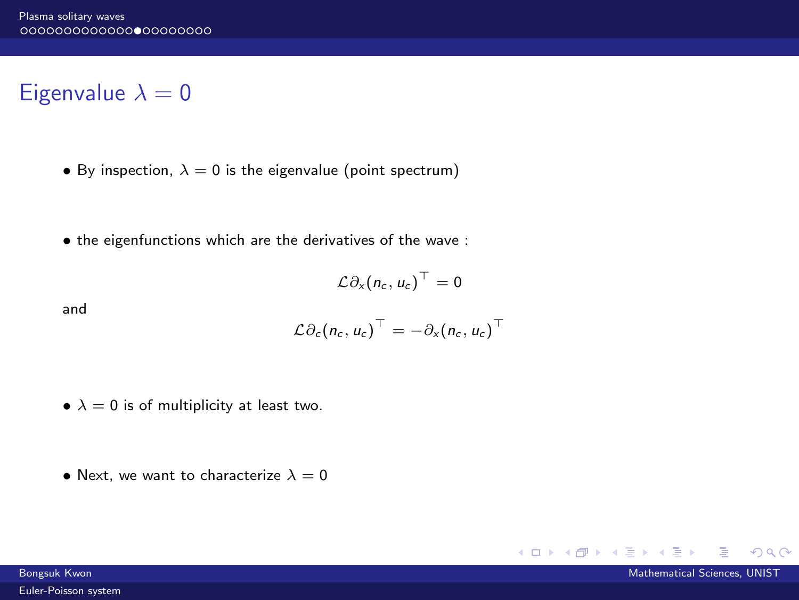# Eigenvalue  $\lambda = 0$

- By inspection,  $\lambda = 0$  is the eigenvalue (point spectrum)
- the eigenfunctions which are the derivatives of the wave :

$$
\mathcal{L}\partial_x(n_c, u_c)^\top = 0
$$

and

$$
\mathcal{L}\partial_c(n_c, u_c)^{\top} = -\partial_x(n_c, u_c)^{\top}
$$

- $\lambda = 0$  is of multiplicity at least two.
- Next, we want to characterize  $\lambda = 0$

 $A \Box B$   $A \Box B$   $A \Box B$ 

 $QQ$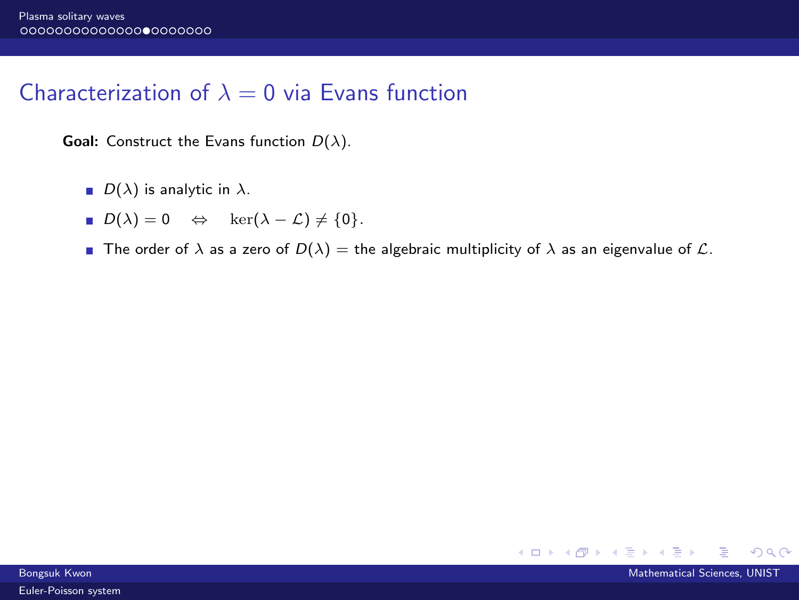# Characterization of  $\lambda = 0$  via Evans function

**Goal:** Construct the Evans function  $D(\lambda)$ .

- $D(\lambda)$  is analytic in  $\lambda$ .
- $D(\lambda) = 0 \Leftrightarrow \ker(\lambda \mathcal{L}) \neq \{0\}.$
- **The order of**  $\lambda$  **as a zero of**  $D(\lambda) =$  **the algebraic multiplicity of**  $\lambda$  **as an eigenvalue of**  $\mathcal{L}$ **.**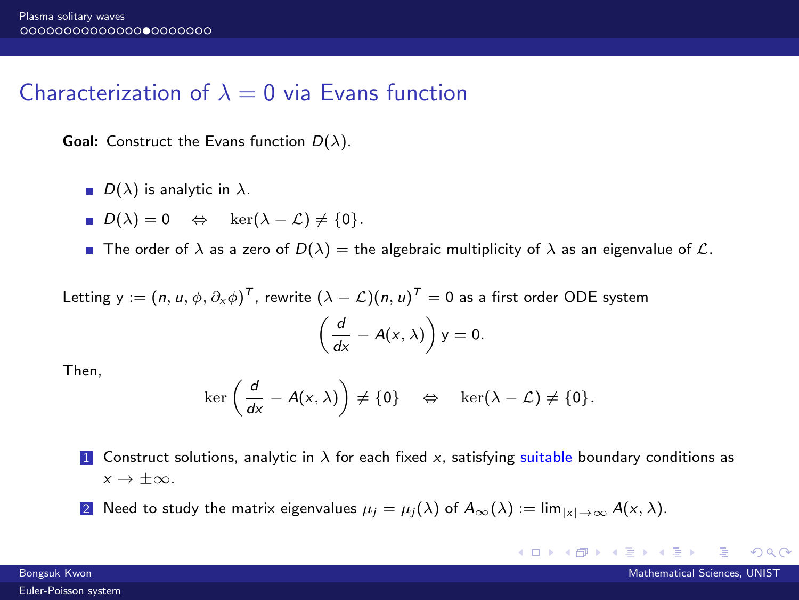## Characterization of  $\lambda = 0$  via Evans function

**Goal:** Construct the Evans function  $D(\lambda)$ .

- $D(\lambda)$  is analytic in  $\lambda$ .
- $D(\lambda) = 0 \Leftrightarrow \ker(\lambda \mathcal{L}) \neq \{0\}.$
- **The order of**  $\lambda$  **as a zero of**  $D(\lambda) =$  **the algebraic multiplicity of**  $\lambda$  **as an eigenvalue of**  $\mathcal{L}$ **.**

Letting  $\mathsf{y}:=(n,u,\phi,\partial_{\mathsf{x}}\phi)^{\mathsf{T}}$ , rewrite  $(\lambda-\mathcal{L})(n,u)^{\mathsf{T}}=0$  as a first order ODE system  $\int d$  $\frac{d}{dx} - A(x, \lambda)$  y = 0.

Then,

$$
\ker\left(\frac{d}{dx}-A(x,\lambda)\right)\neq\{0\}\quad\Leftrightarrow\quad\ker(\lambda-\mathcal{L})\neq\{0\}.
$$

- 1 Construct solutions, analytic in  $\lambda$  for each fixed x, satisfying suitable boundary conditions as  $x \rightarrow +\infty$ .
- 2 Need to study the matrix eigenvalues  $\mu_j = \mu_j(\lambda)$  of  $A_{\infty}(\lambda) := \lim_{|x| \to \infty} A(x, \lambda)$ .

 $QQ$ 

 $A \Box B$   $A \Box B$   $A \Box B$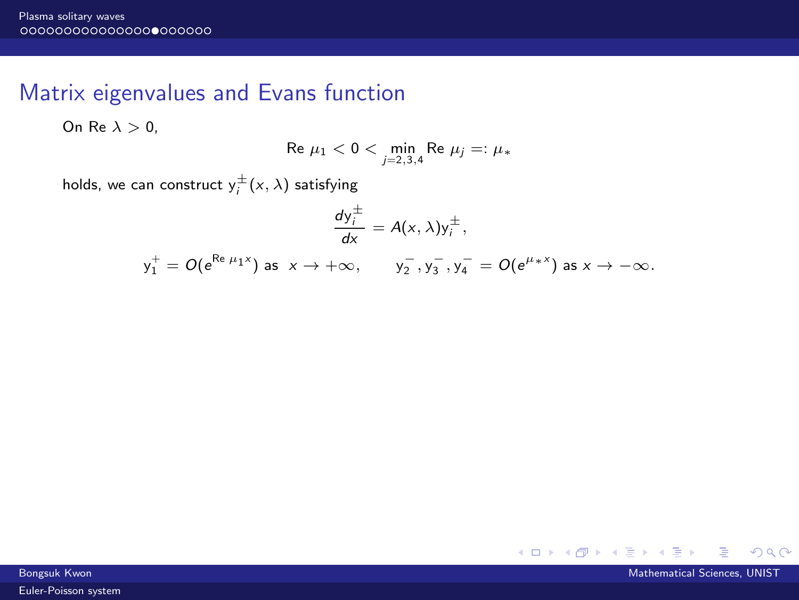## Matrix eigenvalues and Evans function

On Re  $\lambda > 0$ ,

Re 
$$
\mu_1 < 0 < \min_{j=2,3,4} \text{Re } \mu_j =: \mu_*
$$

holds, we can construct  $y_i^{\pm}(x, \lambda)$  satisfying

$$
\frac{dy_i^{\pm}}{dx}=A(x,\lambda)y_i^{\pm},
$$

 $y_1^+ = O(e^{\text{Re }\mu_1 x})$  as  $x \to +\infty$ ,  $y_2^-, y_3^-, y_4^- = O(e^{\mu_* x})$  as  $x \to -\infty$ .



Bongsuk Kwon Mathematical Sciences, UNIST Control of the Control of the Control of the Control of the Mathematical Sciences, UNIST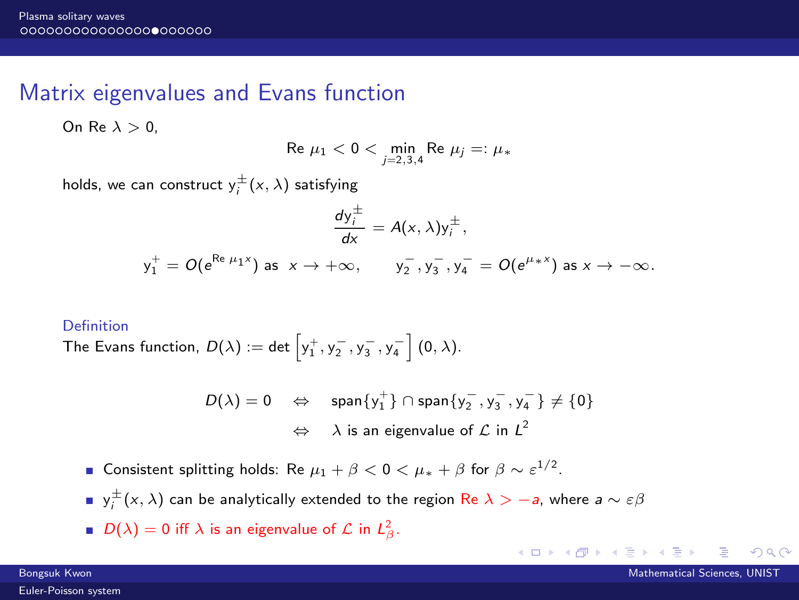## Matrix eigenvalues and Evans function

On Re  $\lambda > 0$ .

Re 
$$
\mu_1 < 0 < \min_{j=2,3,4} \text{Re } \mu_j =: \mu_*
$$

holds, we can construct  $y_i^{\pm}(x, \lambda)$  satisfying

$$
\frac{dy_{\overline{j}}^{\pm}}{dx} = A(x, \lambda)y_{i}^{\pm},
$$
  

$$
y_{1}^{+} = O(e^{Re \mu_{1}x}) \text{ as } x \to +\infty, \qquad y_{2}^{-}, y_{3}^{-}, y_{4}^{-} = O(e^{\mu_{*}x}) \text{ as } x \to -\infty.
$$

#### Definition

The Evans function,  $D(\lambda) := \mathsf{det}\left[ \mathsf{y}_1^+,\mathsf{y}_2^-,\mathsf{y}_3^-,\mathsf{y}_4^-\right] (0,\lambda).$ 

$$
\begin{array}{lcl} D(\lambda)=0 & \Leftrightarrow & \text{span}\{y_1^+\}\cap\text{span}\{y_2^-,y_3^-,y_4^-\}\neq\{0\} \\ & \Leftrightarrow & \lambda \text{ is an eigenvalue of }\mathcal{L} \text{ in } L^2 \end{array}
$$

- Consistent splitting holds: Re  $\mu_1 + \beta < 0 < \mu_* + \beta$  for  $\beta \sim \varepsilon^{1/2}$ .
- ${\sf y}_i^\pm({\sf x},\lambda)$  can be analytically extended to the region  ${\sf Re}\;\lambda>-$ a, where a  $\sim\varepsilon\beta$
- $D(\lambda) = 0$  iff  $\lambda$  is an eigenvalue of  $\mathcal L$  in  $L^2_{\beta}$ .

**イロト イ母ト イヨ** 

 $\Omega$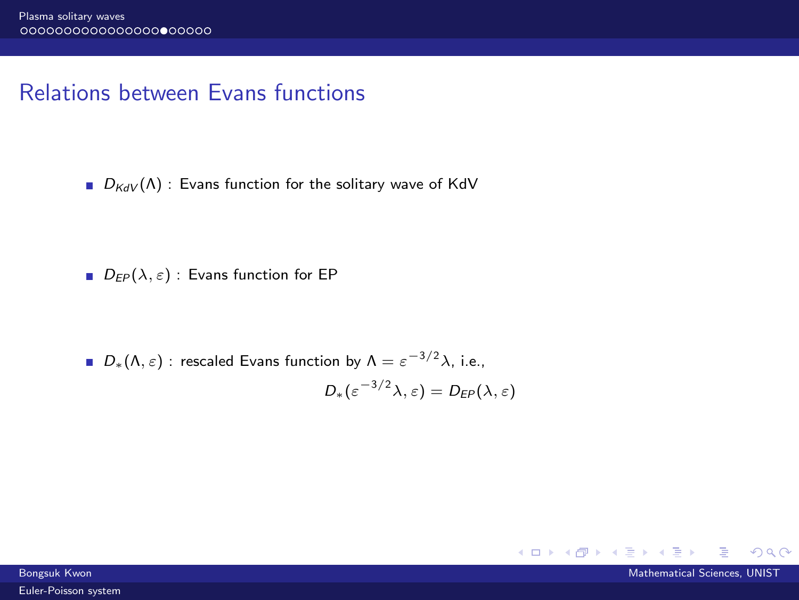# Relations between Evans functions

 $D_{KdV}(\Lambda)$  : Evans function for the solitary wave of KdV

 $\blacksquare$   $D_{FP}(\lambda, \varepsilon)$ : Evans function for EP

 $D_*(\Lambda, \varepsilon)$ : rescaled Evans function by  $\Lambda = \varepsilon^{-3/2} \lambda$ , i.e.,  $D_*(\varepsilon^{-3/2}\lambda,\varepsilon)=D_{\text{EP}}(\lambda,\varepsilon)$ 



 $QQ$ 

 $A \Box B$   $A \Box B$   $A \Box B$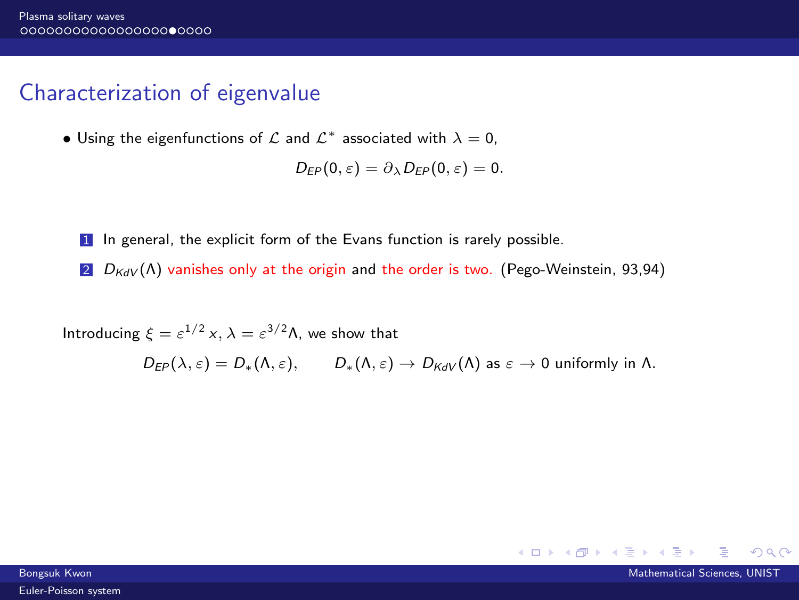## Characterization of eigenvalue

• Using the eigenfunctions of  $\mathcal L$  and  $\mathcal L^*$  associated with  $\lambda=0,$ 

$$
D_{EP}(0,\varepsilon)=\partial_{\lambda}D_{EP}(0,\varepsilon)=0.
$$

- 1 In general, the explicit form of the Evans function is rarely possible.
- 2  $D_{KdV}(\Lambda)$  vanishes only at the origin and the order is two. (Pego-Weinstein, 93,94)

Introducing  $\xi = \varepsilon^{1/2} x$ ,  $\lambda = \varepsilon^{3/2} \Lambda$ , we show that

 $D_{FP}(\lambda, \varepsilon) = D_*(\Lambda, \varepsilon), \qquad D_*(\Lambda, \varepsilon) \to D_{KdV}(\Lambda)$  as  $\varepsilon \to 0$  uniformly in  $\Lambda$ .

 $QQ$ 

 $A \Box B$   $A \Box B$   $A \Box B$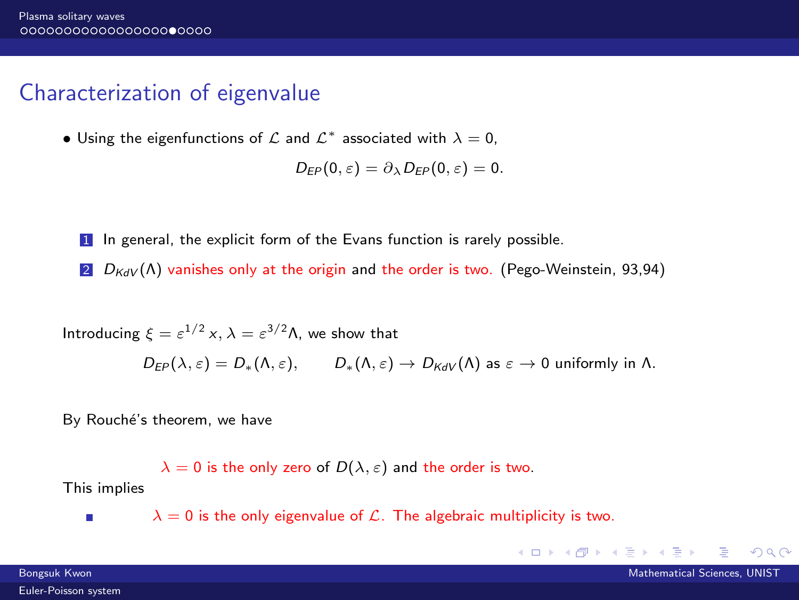## Characterization of eigenvalue

• Using the eigenfunctions of  $\mathcal L$  and  $\mathcal L^*$  associated with  $\lambda=0,$ 

$$
D_{EP}(0,\varepsilon)=\partial_{\lambda}D_{EP}(0,\varepsilon)=0.
$$

- 1 In general, the explicit form of the Evans function is rarely possible.
- 2  $D_{KdV}(\Lambda)$  vanishes only at the origin and the order is two. (Pego-Weinstein, 93,94)

Introducing  $\xi = \varepsilon^{1/2} x$ ,  $\lambda = \varepsilon^{3/2} \Lambda$ , we show that

 $D_{FP}(\lambda, \varepsilon) = D_*(\Lambda, \varepsilon), \qquad D_*(\Lambda, \varepsilon) \to D_{KdV}(\Lambda)$  as  $\varepsilon \to 0$  uniformly in  $\Lambda$ .

By Rouché's theorem, we have

 $\lambda = 0$  is the only zero of  $D(\lambda, \varepsilon)$  and the order is two.

This implies п

 $\lambda = 0$  is the only eigenvalue of  $\mathcal{L}$ . The algebraic multiplicity is two.

Bongsuk Kwon Mathematical Sciences, UNIST

 $QQ$ 

 $A \Box B$   $A \Box B$   $A \Box B$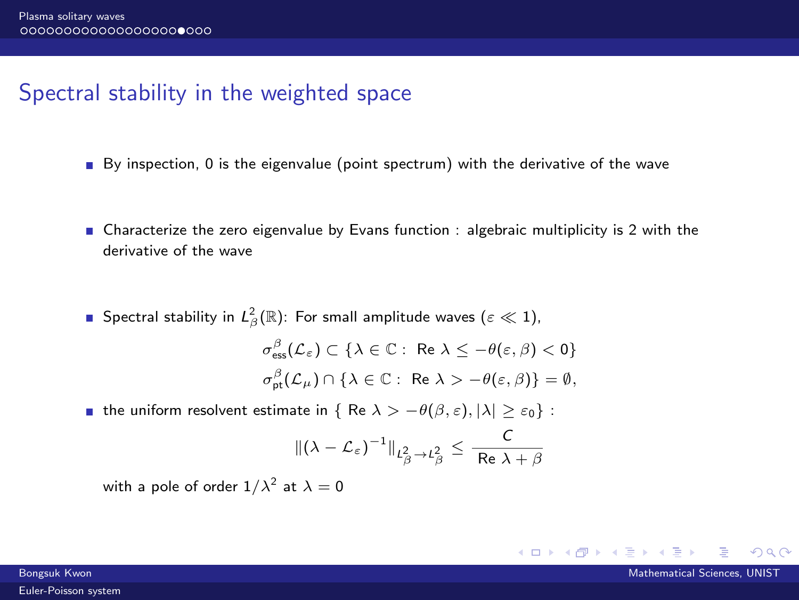# Spectral stability in the weighted space

- $\blacksquare$  By inspection, 0 is the eigenvalue (point spectrum) with the derivative of the wave
- Characterize the zero eigenvalue by Evans function : algebraic multiplicity is 2 with the derivative of the wave
- Spectral stability in  $L^2_\beta(\mathbb{R})$ : For small amplitude waves  $(\varepsilon \ll 1),$  $\sigma_{\text{ess}}^{\beta}(\mathcal{L}_{\varepsilon}) \subset {\lambda \in \mathbb{C}: \ \text{Re }\lambda \leq -\theta(\varepsilon,\beta) < 0}$  $\sigma_{\text{pt}}^{\beta}(\mathcal{L}_{\mu}) \cap \{\lambda \in \mathbb{C}: \text{ Re } \lambda > -\theta(\varepsilon,\beta)\} = \emptyset,$
- **■** the uniform resolvent estimate in { Re  $\lambda > -\theta(\beta, \varepsilon), |\lambda| \ge \varepsilon_0$  :

$$
\|(\lambda-\mathcal{L}_{\varepsilon})^{-1}\|_{L^2_{\beta}\to L^2_{\beta}}\leq \frac{C}{\operatorname{Re} \lambda+\beta}
$$

with a pole of order  $1/\lambda^2$  at  $\lambda=0$ 

イロト イ押ト イヨト イヨ

 $\Omega$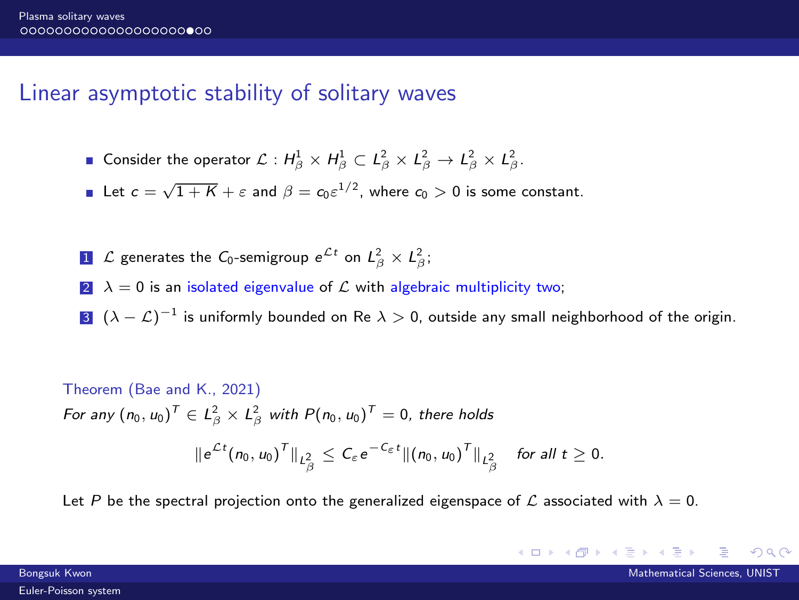## Linear asymptotic stability of solitary waves

- Consider the operator  $\mathcal{L}: H^1_\beta \times H^1_\beta \subset L^2_\beta \times L^2_\beta \to L^2_\beta \times L^2_\beta$ .
- Let  $c = \sqrt{1 + K} + \varepsilon$  and  $\beta = c_0 \varepsilon^{1/2}$ , where  $c_0 > 0$  is some constant.
- $1$   $\mathcal L$  generates the  $\mathcal C_0$ -semigroup  $e^{\mathcal L t}$  on  $L^2_{\beta}\times L^2_{\beta};$
- 2  $\lambda = 0$  is an isolated eigenvalue of  $\mathcal L$  with algebraic multiplicity two;
- 3  $(\lambda-\mathcal{L})^{-1}$  is uniformly bounded on Re  $\lambda>0$ , outside any small neighborhood of the origin.

Theorem (Bae and K., 2021)  
\nFor any 
$$
(n_0, u_0)^T \in L^2_\beta \times L^2_\beta
$$
 with  $P(n_0, u_0)^T = 0$ , there holds  
\n
$$
||e^{\mathcal{L}t}(n_0, u_0)^T||_{L^2_\beta} \leq C_\varepsilon e^{-C_\varepsilon t} ||(n_0, u_0)^T||_{L^2_\beta}
$$
 for all  $t \geq 0$ .

Let P be the spectral projection onto the generalized eigenspace of L associated with  $\lambda = 0$ .

 $A \Box B$   $A \Box B$   $A \Box B$ 

 $QQ$ 

Bongsuk Kwon Mathematical Sciences, UNIST [Euler-Poisson system](#page-0-0)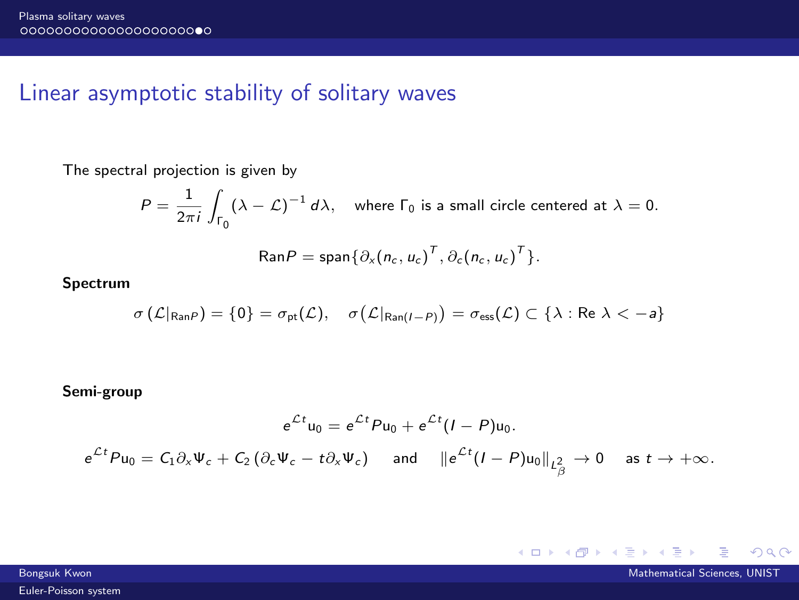## Linear asymptotic stability of solitary waves

The spectral projection is given by

$$
P = \frac{1}{2\pi i} \int_{\Gamma_0} (\lambda - \mathcal{L})^{-1} d\lambda, \quad \text{where } \Gamma_0 \text{ is a small circle centered at } \lambda = 0.
$$

$$
\text{Ran}P = \text{span}\{\partial_x(n_c, u_c)^T, \partial_c(n_c, u_c)^T\}.
$$

Spectrum

$$
\sigma\left(\mathcal{L}|_{\mathsf{Ran}P}\right) = \{0\} = \sigma_{\mathsf{pt}}(\mathcal{L}), \quad \sigma\big(\mathcal{L}|_{\mathsf{Ran}(I-P)}\big) = \sigma_{\mathsf{ess}}(\mathcal{L}) \subset \{\lambda : \mathsf{Re}\,\, \lambda < -a\}
$$

Semi-group

$$
e^{\mathcal{L}t}u_0 = e^{\mathcal{L}t}Pu_0 + e^{\mathcal{L}t}(I - P)u_0.
$$
  

$$
e^{\mathcal{L}t}Pu_0 = C_1\partial_x \Psi_c + C_2(\partial_c \Psi_c - t\partial_x \Psi_c) \text{ and } ||e^{\mathcal{L}t}(I - P)u_0||_{L^2_{\beta}} \to 0 \text{ as } t \to +\infty.
$$

 $A \Box B$   $A \Box B$   $A \Box B$ 

 $298$